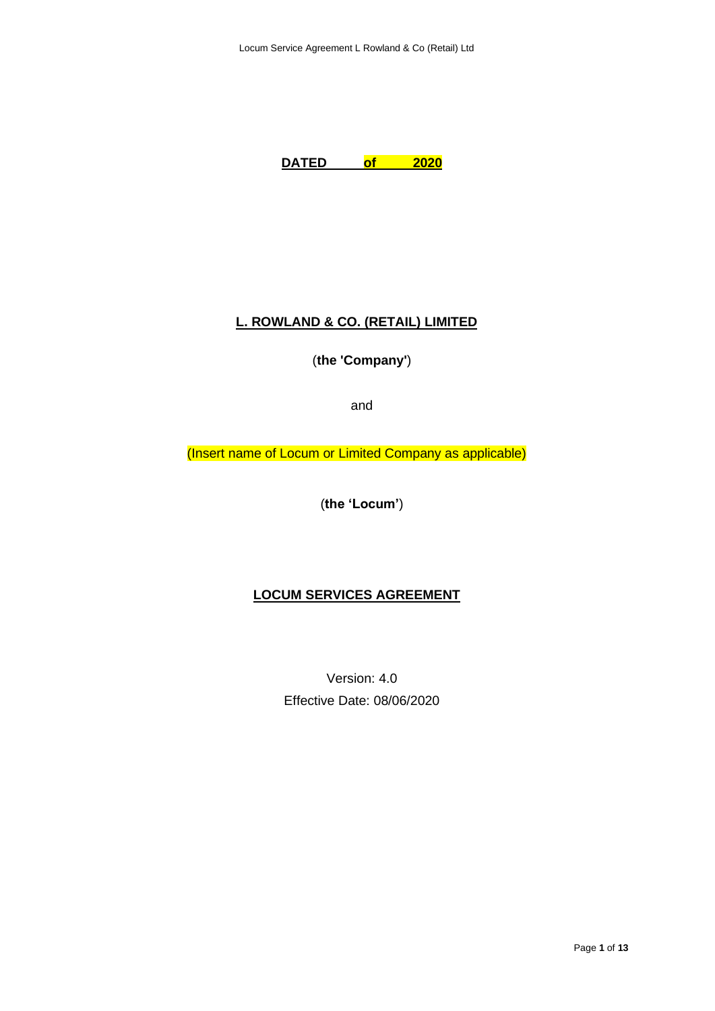

## **L. ROWLAND & CO. (RETAIL) LIMITED**

(**the 'Company'**)

and

(Insert name of Locum or Limited Company as applicable)

(**the 'Locum'**)

## **LOCUM SERVICES AGREEMENT**

Version: 4.0 Effective Date: 08/06/2020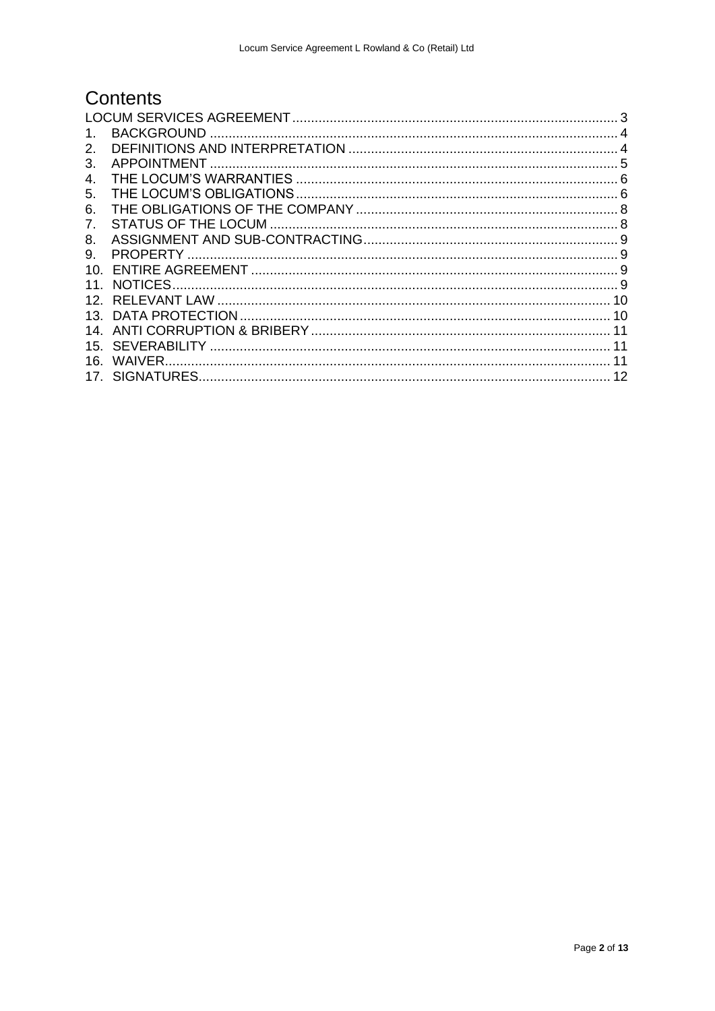# Contents

| 1.              |  |  |
|-----------------|--|--|
| 2.              |  |  |
| 3.              |  |  |
| 4.              |  |  |
| 5.              |  |  |
| 6.              |  |  |
| 7.              |  |  |
| 8.              |  |  |
| 9.              |  |  |
| 10.             |  |  |
| 11.             |  |  |
| 12.             |  |  |
| 13 <sub>1</sub> |  |  |
| 14.             |  |  |
| 15.             |  |  |
| 16.             |  |  |
|                 |  |  |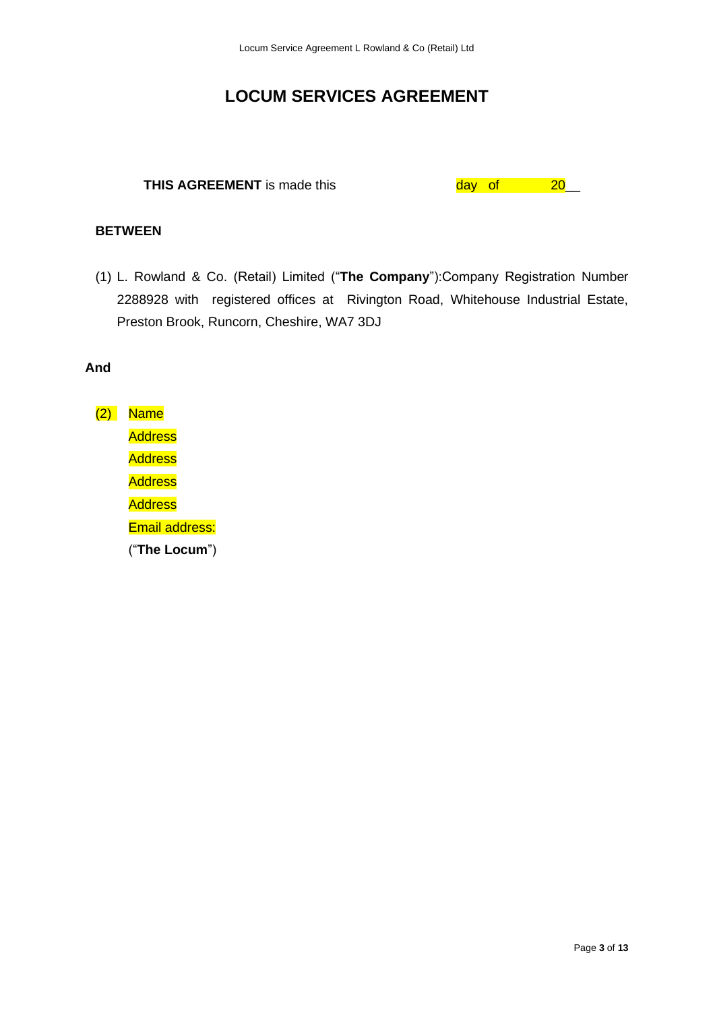## **LOCUM SERVICES AGREEMENT**

# <span id="page-2-0"></span>**THIS AGREEMENT** is made this day of 20\_

## **BETWEEN**

(1) L. Rowland & Co. (Retail) Limited ("**The Company**"):Company Registration Number 2288928 with registered offices at Rivington Road, Whitehouse Industrial Estate, Preston Brook, Runcorn, Cheshire, WA7 3DJ

### **And**

 $(2)$  Name **Address Address Address Address** Email address: ("**The Locum**")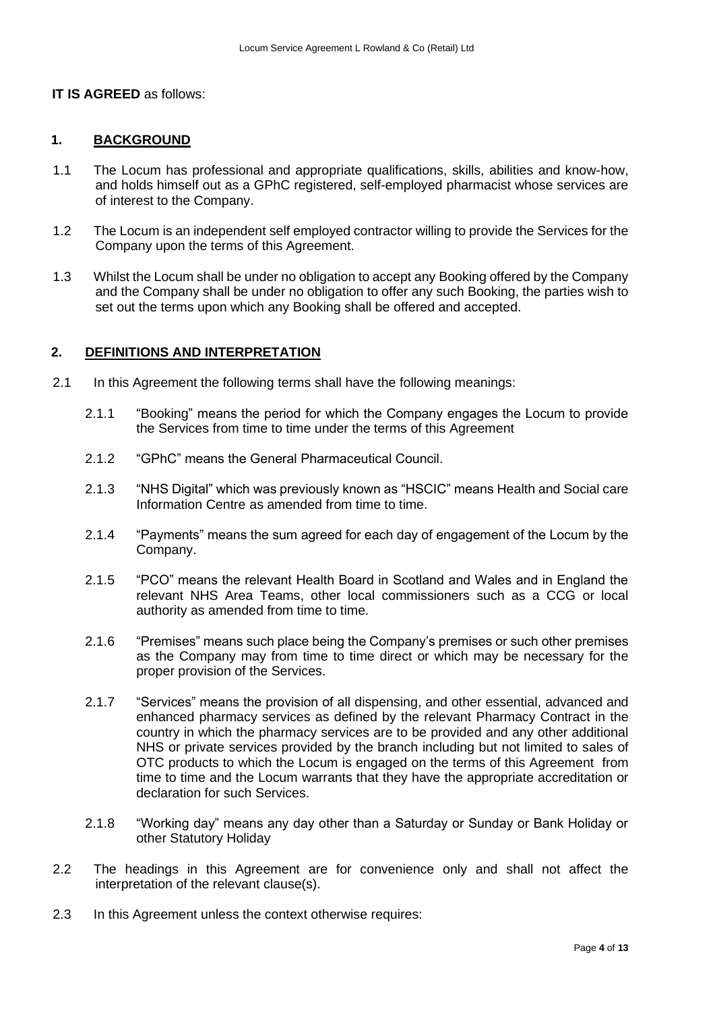#### **IT IS AGREED** as follows:

#### <span id="page-3-0"></span>**1. BACKGROUND**

- 1.1 The Locum has professional and appropriate qualifications, skills, abilities and know-how, and holds himself out as a GPhC registered, self-employed pharmacist whose services are of interest to the Company.
- 1.2 The Locum is an independent self employed contractor willing to provide the Services for the Company upon the terms of this Agreement.
- 1.3 Whilst the Locum shall be under no obligation to accept any Booking offered by the Company and the Company shall be under no obligation to offer any such Booking, the parties wish to set out the terms upon which any Booking shall be offered and accepted.

#### <span id="page-3-1"></span>**2. DEFINITIONS AND INTERPRETATION**

- 2.1 In this Agreement the following terms shall have the following meanings:
	- 2.1.1 "Booking" means the period for which the Company engages the Locum to provide the Services from time to time under the terms of this Agreement
	- 2.1.2 "GPhC" means the General Pharmaceutical Council.
	- 2.1.3 "NHS Digital" which was previously known as "HSCIC" means Health and Social care Information Centre as amended from time to time.
	- 2.1.4 "Payments" means the sum agreed for each day of engagement of the Locum by the Company.
	- 2.1.5 "PCO" means the relevant Health Board in Scotland and Wales and in England the relevant NHS Area Teams, other local commissioners such as a CCG or local authority as amended from time to time.
	- 2.1.6 "Premises" means such place being the Company's premises or such other premises as the Company may from time to time direct or which may be necessary for the proper provision of the Services.
	- 2.1.7 "Services" means the provision of all dispensing, and other essential, advanced and enhanced pharmacy services as defined by the relevant Pharmacy Contract in the country in which the pharmacy services are to be provided and any other additional NHS or private services provided by the branch including but not limited to sales of OTC products to which the Locum is engaged on the terms of this Agreement from time to time and the Locum warrants that they have the appropriate accreditation or declaration for such Services.
	- 2.1.8 "Working day" means any day other than a Saturday or Sunday or Bank Holiday or other Statutory Holiday
- 2.2 The headings in this Agreement are for convenience only and shall not affect the interpretation of the relevant clause(s).
- 2.3 In this Agreement unless the context otherwise requires: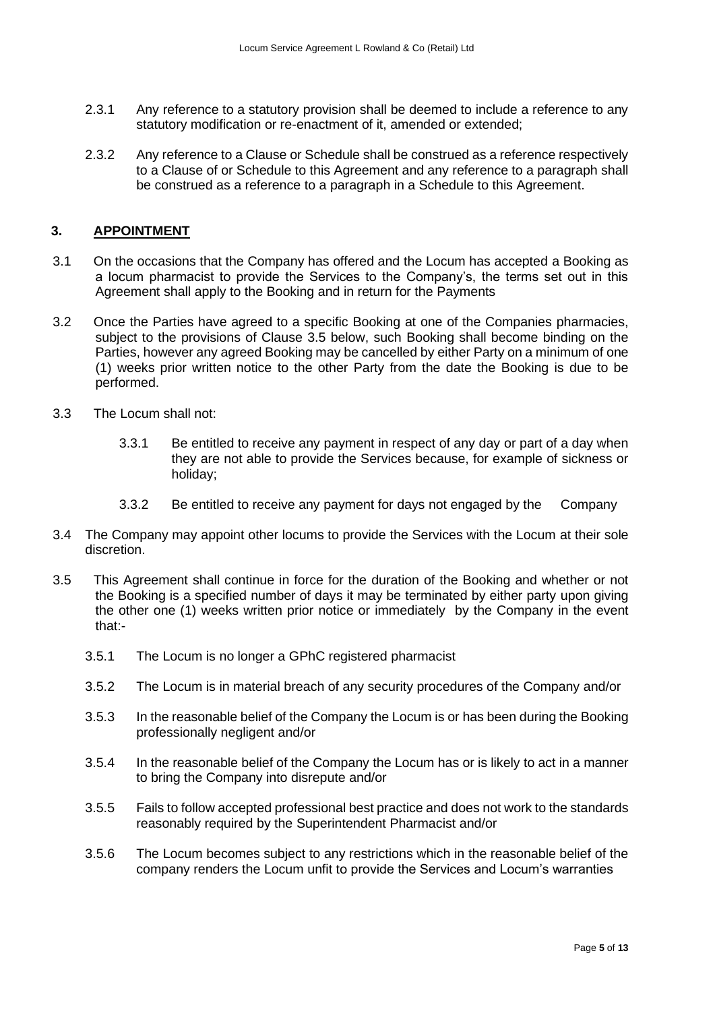- 2.3.1 Any reference to a statutory provision shall be deemed to include a reference to any statutory modification or re-enactment of it, amended or extended;
- 2.3.2 Any reference to a Clause or Schedule shall be construed as a reference respectively to a Clause of or Schedule to this Agreement and any reference to a paragraph shall be construed as a reference to a paragraph in a Schedule to this Agreement.

## <span id="page-4-0"></span>**3. APPOINTMENT**

- 3.1 On the occasions that the Company has offered and the Locum has accepted a Booking as a locum pharmacist to provide the Services to the Company's, the terms set out in this Agreement shall apply to the Booking and in return for the Payments
- 3.2 Once the Parties have agreed to a specific Booking at one of the Companies pharmacies, subject to the provisions of Clause 3.5 below, such Booking shall become binding on the Parties, however any agreed Booking may be cancelled by either Party on a minimum of one (1) weeks prior written notice to the other Party from the date the Booking is due to be performed.
- 3.3 The Locum shall not:
	- 3.3.1 Be entitled to receive any payment in respect of any day or part of a day when they are not able to provide the Services because, for example of sickness or holiday;
	- 3.3.2 Be entitled to receive any payment for days not engaged by the Company
- 3.4 The Company may appoint other locums to provide the Services with the Locum at their sole discretion.
- 3.5 This Agreement shall continue in force for the duration of the Booking and whether or not the Booking is a specified number of days it may be terminated by either party upon giving the other one (1) weeks written prior notice or immediately by the Company in the event that:-
	- 3.5.1 The Locum is no longer a GPhC registered pharmacist
	- 3.5.2 The Locum is in material breach of any security procedures of the Company and/or
	- 3.5.3 In the reasonable belief of the Company the Locum is or has been during the Booking professionally negligent and/or
	- 3.5.4 In the reasonable belief of the Company the Locum has or is likely to act in a manner to bring the Company into disrepute and/or
	- 3.5.5 Fails to follow accepted professional best practice and does not work to the standards reasonably required by the Superintendent Pharmacist and/or
	- 3.5.6 The Locum becomes subject to any restrictions which in the reasonable belief of the company renders the Locum unfit to provide the Services and Locum's warranties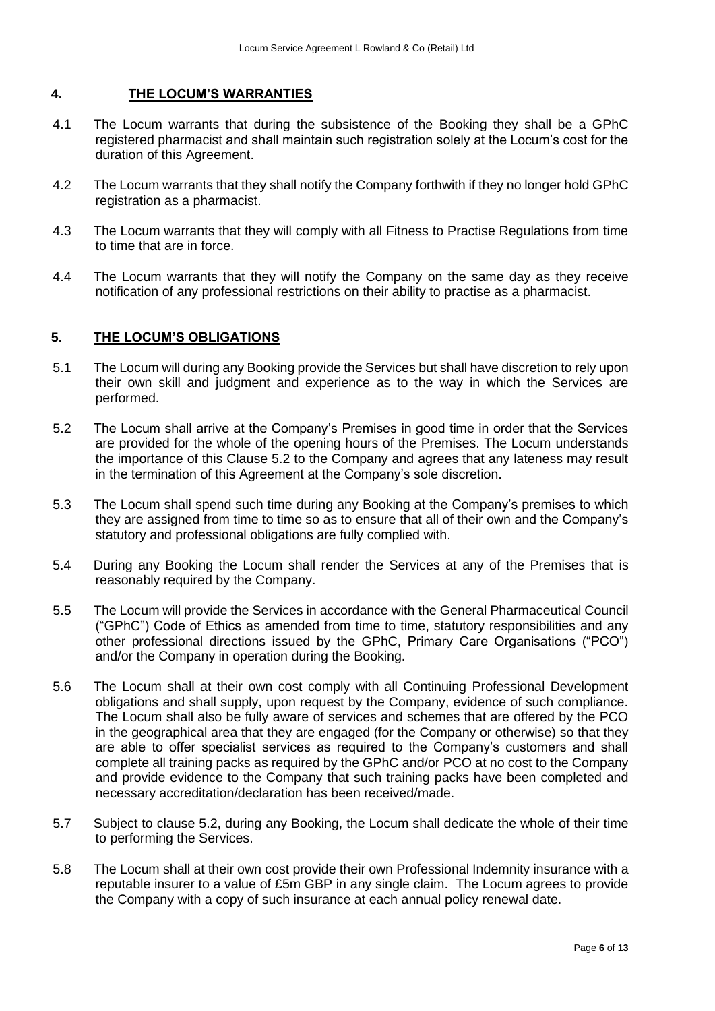### <span id="page-5-0"></span>**4. THE LOCUM'S WARRANTIES**

- 4.1 The Locum warrants that during the subsistence of the Booking they shall be a GPhC registered pharmacist and shall maintain such registration solely at the Locum's cost for the duration of this Agreement.
- 4.2 The Locum warrants that they shall notify the Company forthwith if they no longer hold GPhC registration as a pharmacist.
- 4.3 The Locum warrants that they will comply with all Fitness to Practise Regulations from time to time that are in force.
- 4.4 The Locum warrants that they will notify the Company on the same day as they receive notification of any professional restrictions on their ability to practise as a pharmacist.

### <span id="page-5-1"></span>**5. THE LOCUM'S OBLIGATIONS**

- 5.1 The Locum will during any Booking provide the Services but shall have discretion to rely upon their own skill and judgment and experience as to the way in which the Services are performed.
- 5.2 The Locum shall arrive at the Company's Premises in good time in order that the Services are provided for the whole of the opening hours of the Premises. The Locum understands the importance of this Clause 5.2 to the Company and agrees that any lateness may result in the termination of this Agreement at the Company's sole discretion.
- 5.3 The Locum shall spend such time during any Booking at the Company's premises to which they are assigned from time to time so as to ensure that all of their own and the Company's statutory and professional obligations are fully complied with.
- 5.4 During any Booking the Locum shall render the Services at any of the Premises that is reasonably required by the Company.
- 5.5 The Locum will provide the Services in accordance with the General Pharmaceutical Council ("GPhC") Code of Ethics as amended from time to time, statutory responsibilities and any other professional directions issued by the GPhC, Primary Care Organisations ("PCO") and/or the Company in operation during the Booking.
- 5.6 The Locum shall at their own cost comply with all Continuing Professional Development obligations and shall supply, upon request by the Company, evidence of such compliance. The Locum shall also be fully aware of services and schemes that are offered by the PCO in the geographical area that they are engaged (for the Company or otherwise) so that they are able to offer specialist services as required to the Company's customers and shall complete all training packs as required by the GPhC and/or PCO at no cost to the Company and provide evidence to the Company that such training packs have been completed and necessary accreditation/declaration has been received/made.
- 5.7 Subject to clause 5.2, during any Booking, the Locum shall dedicate the whole of their time to performing the Services.
- 5.8 The Locum shall at their own cost provide their own Professional Indemnity insurance with a reputable insurer to a value of £5m GBP in any single claim. The Locum agrees to provide the Company with a copy of such insurance at each annual policy renewal date.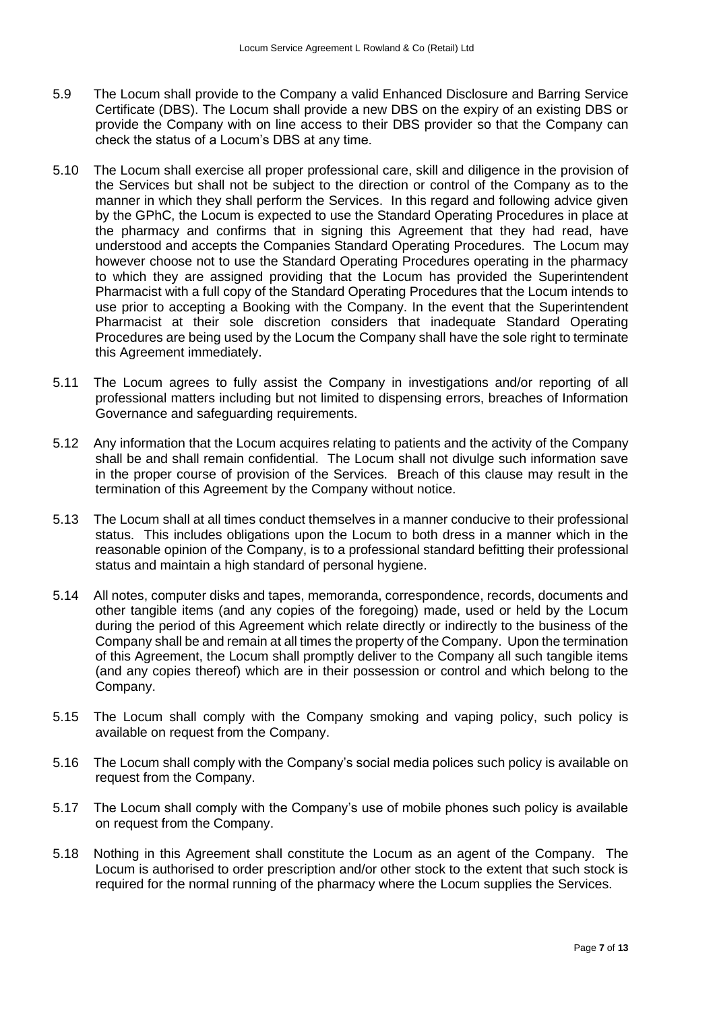- 5.9 The Locum shall provide to the Company a valid Enhanced Disclosure and Barring Service Certificate (DBS). The Locum shall provide a new DBS on the expiry of an existing DBS or provide the Company with on line access to their DBS provider so that the Company can check the status of a Locum's DBS at any time.
- 5.10 The Locum shall exercise all proper professional care, skill and diligence in the provision of the Services but shall not be subject to the direction or control of the Company as to the manner in which they shall perform the Services. In this regard and following advice given by the GPhC, the Locum is expected to use the Standard Operating Procedures in place at the pharmacy and confirms that in signing this Agreement that they had read, have understood and accepts the Companies Standard Operating Procedures. The Locum may however choose not to use the Standard Operating Procedures operating in the pharmacy to which they are assigned providing that the Locum has provided the Superintendent Pharmacist with a full copy of the Standard Operating Procedures that the Locum intends to use prior to accepting a Booking with the Company. In the event that the Superintendent Pharmacist at their sole discretion considers that inadequate Standard Operating Procedures are being used by the Locum the Company shall have the sole right to terminate this Agreement immediately.
- 5.11 The Locum agrees to fully assist the Company in investigations and/or reporting of all professional matters including but not limited to dispensing errors, breaches of Information Governance and safeguarding requirements.
- 5.12 Any information that the Locum acquires relating to patients and the activity of the Company shall be and shall remain confidential. The Locum shall not divulge such information save in the proper course of provision of the Services. Breach of this clause may result in the termination of this Agreement by the Company without notice.
- 5.13 The Locum shall at all times conduct themselves in a manner conducive to their professional status. This includes obligations upon the Locum to both dress in a manner which in the reasonable opinion of the Company, is to a professional standard befitting their professional status and maintain a high standard of personal hygiene.
- 5.14 All notes, computer disks and tapes, memoranda, correspondence, records, documents and other tangible items (and any copies of the foregoing) made, used or held by the Locum during the period of this Agreement which relate directly or indirectly to the business of the Company shall be and remain at all times the property of the Company. Upon the termination of this Agreement, the Locum shall promptly deliver to the Company all such tangible items (and any copies thereof) which are in their possession or control and which belong to the Company.
- 5.15 The Locum shall comply with the Company smoking and vaping policy, such policy is available on request from the Company.
- 5.16 The Locum shall comply with the Company's social media polices such policy is available on request from the Company.
- 5.17 The Locum shall comply with the Company's use of mobile phones such policy is available on request from the Company.
- 5.18 Nothing in this Agreement shall constitute the Locum as an agent of the Company. The Locum is authorised to order prescription and/or other stock to the extent that such stock is required for the normal running of the pharmacy where the Locum supplies the Services.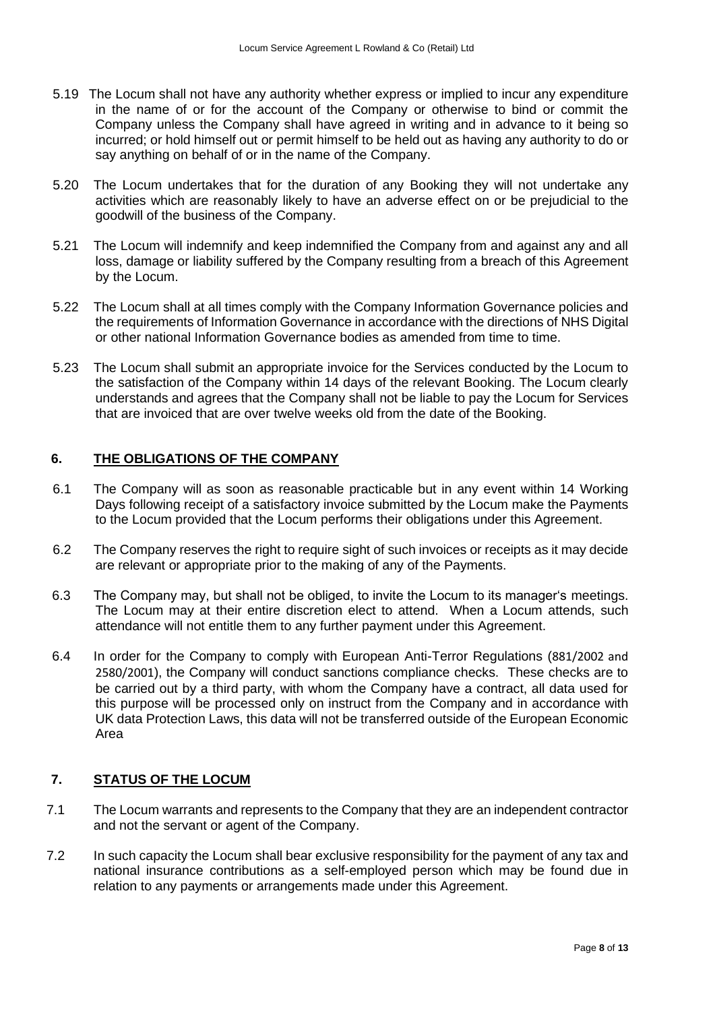- 5.19 The Locum shall not have any authority whether express or implied to incur any expenditure in the name of or for the account of the Company or otherwise to bind or commit the Company unless the Company shall have agreed in writing and in advance to it being so incurred; or hold himself out or permit himself to be held out as having any authority to do or say anything on behalf of or in the name of the Company.
- 5.20 The Locum undertakes that for the duration of any Booking they will not undertake any activities which are reasonably likely to have an adverse effect on or be prejudicial to the goodwill of the business of the Company.
- 5.21 The Locum will indemnify and keep indemnified the Company from and against any and all loss, damage or liability suffered by the Company resulting from a breach of this Agreement by the Locum.
- 5.22 The Locum shall at all times comply with the Company Information Governance policies and the requirements of Information Governance in accordance with the directions of NHS Digital or other national Information Governance bodies as amended from time to time.
- 5.23 The Locum shall submit an appropriate invoice for the Services conducted by the Locum to the satisfaction of the Company within 14 days of the relevant Booking. The Locum clearly understands and agrees that the Company shall not be liable to pay the Locum for Services that are invoiced that are over twelve weeks old from the date of the Booking.

## <span id="page-7-0"></span>**6. THE OBLIGATIONS OF THE COMPANY**

- 6.1 The Company will as soon as reasonable practicable but in any event within 14 Working Days following receipt of a satisfactory invoice submitted by the Locum make the Payments to the Locum provided that the Locum performs their obligations under this Agreement.
- 6.2 The Company reserves the right to require sight of such invoices or receipts as it may decide are relevant or appropriate prior to the making of any of the Payments.
- 6.3 The Company may, but shall not be obliged, to invite the Locum to its manager's meetings. The Locum may at their entire discretion elect to attend. When a Locum attends, such attendance will not entitle them to any further payment under this Agreement.
- 6.4 In order for the Company to comply with European Anti-Terror Regulations (881/2002 and 2580/2001), the Company will conduct sanctions compliance checks. These checks are to be carried out by a third party, with whom the Company have a contract, all data used for this purpose will be processed only on instruct from the Company and in accordance with UK data Protection Laws, this data will not be transferred outside of the European Economic Area

#### <span id="page-7-1"></span>**7. STATUS OF THE LOCUM**

- 7.1 The Locum warrants and represents to the Company that they are an independent contractor and not the servant or agent of the Company.
- 7.2 In such capacity the Locum shall bear exclusive responsibility for the payment of any tax and national insurance contributions as a self-employed person which may be found due in relation to any payments or arrangements made under this Agreement.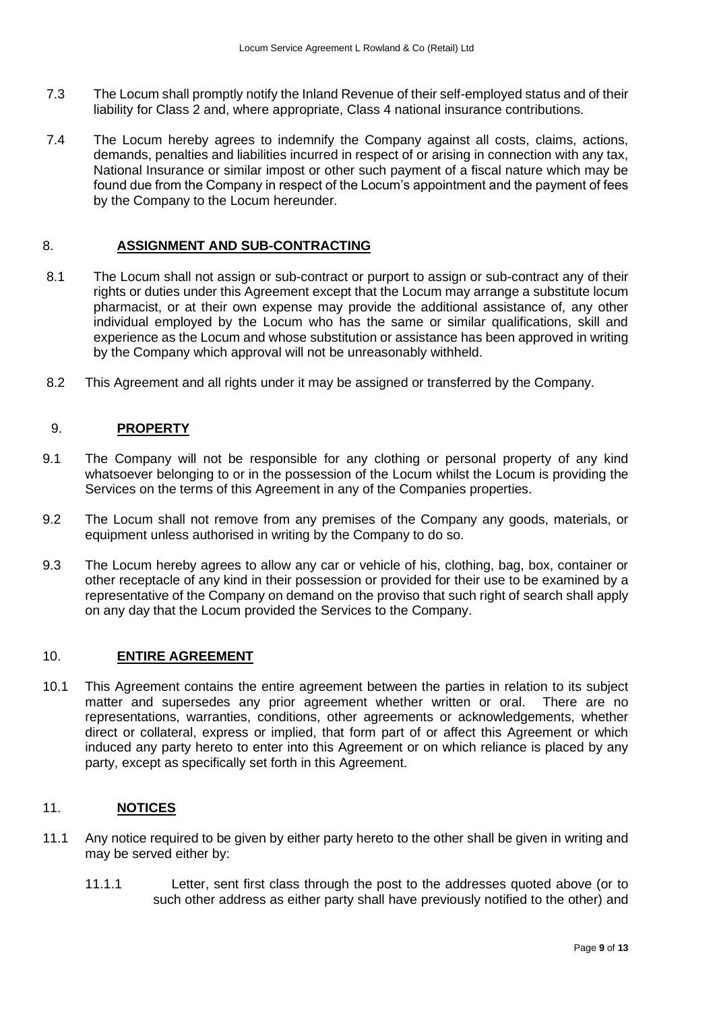- 7.3 The Locum shall promptly notify the Inland Revenue of their self-employed status and of their liability for Class 2 and, where appropriate, Class 4 national insurance contributions.
- 7.4 The Locum hereby agrees to indemnify the Company against all costs, claims, actions, demands, penalties and liabilities incurred in respect of or arising in connection with any tax, National Insurance or similar impost or other such payment of a fiscal nature which may be found due from the Company in respect of the Locum's appointment and the payment of fees by the Company to the Locum hereunder.

## <span id="page-8-0"></span>8. **ASSIGNMENT AND SUB-CONTRACTING**

- 8.1 The Locum shall not assign or sub-contract or purport to assign or sub-contract any of their rights or duties under this Agreement except that the Locum may arrange a substitute locum pharmacist, or at their own expense may provide the additional assistance of, any other individual employed by the Locum who has the same or similar qualifications, skill and experience as the Locum and whose substitution or assistance has been approved in writing by the Company which approval will not be unreasonably withheld.
- 8.2 This Agreement and all rights under it may be assigned or transferred by the Company.

### <span id="page-8-1"></span>9. **PROPERTY**

- 9.1 The Company will not be responsible for any clothing or personal property of any kind whatsoever belonging to or in the possession of the Locum whilst the Locum is providing the Services on the terms of this Agreement in any of the Companies properties.
- 9.2 The Locum shall not remove from any premises of the Company any goods, materials, or equipment unless authorised in writing by the Company to do so.
- 9.3 The Locum hereby agrees to allow any car or vehicle of his, clothing, bag, box, container or other receptacle of any kind in their possession or provided for their use to be examined by a representative of the Company on demand on the proviso that such right of search shall apply on any day that the Locum provided the Services to the Company.

### <span id="page-8-2"></span>10. **ENTIRE AGREEMENT**

10.1 This Agreement contains the entire agreement between the parties in relation to its subject matter and supersedes any prior agreement whether written or oral. There are no representations, warranties, conditions, other agreements or acknowledgements, whether direct or collateral, express or implied, that form part of or affect this Agreement or which induced any party hereto to enter into this Agreement or on which reliance is placed by any party, except as specifically set forth in this Agreement.

## <span id="page-8-3"></span>11. **NOTICES**

- 11.1 Any notice required to be given by either party hereto to the other shall be given in writing and may be served either by:
	- 11.1.1 Letter, sent first class through the post to the addresses quoted above (or to such other address as either party shall have previously notified to the other) and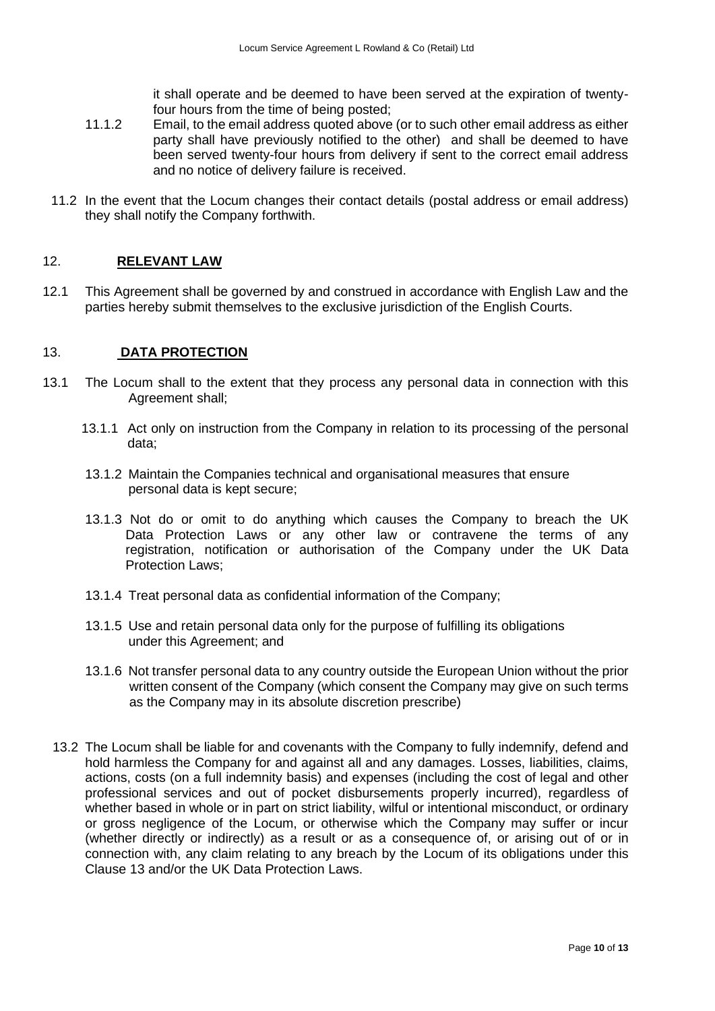it shall operate and be deemed to have been served at the expiration of twentyfour hours from the time of being posted;

- 11.1.2 Email, to the email address quoted above (or to such other email address as either party shall have previously notified to the other) and shall be deemed to have been served twenty-four hours from delivery if sent to the correct email address and no notice of delivery failure is received.
- 11.2 In the event that the Locum changes their contact details (postal address or email address) they shall notify the Company forthwith.

### <span id="page-9-0"></span>12. **RELEVANT LAW**

12.1 This Agreement shall be governed by and construed in accordance with English Law and the parties hereby submit themselves to the exclusive jurisdiction of the English Courts.

### <span id="page-9-1"></span>13. **DATA PROTECTION**

- 13.1 The Locum shall to the extent that they process any personal data in connection with this Agreement shall;
	- 13.1.1 Act only on instruction from the Company in relation to its processing of the personal data;
	- 13.1.2 Maintain the Companies technical and organisational measures that ensure personal data is kept secure;
	- 13.1.3 Not do or omit to do anything which causes the Company to breach the UK Data Protection Laws or any other law or contravene the terms of any registration, notification or authorisation of the Company under the UK Data Protection Laws;
	- 13.1.4 Treat personal data as confidential information of the Company;
	- 13.1.5 Use and retain personal data only for the purpose of fulfilling its obligations under this Agreement; and
	- 13.1.6 Not transfer personal data to any country outside the European Union without the prior written consent of the Company (which consent the Company may give on such terms as the Company may in its absolute discretion prescribe)
	- 13.2 The Locum shall be liable for and covenants with the Company to fully indemnify, defend and hold harmless the Company for and against all and any damages. Losses, liabilities, claims, actions, costs (on a full indemnity basis) and expenses (including the cost of legal and other professional services and out of pocket disbursements properly incurred), regardless of whether based in whole or in part on strict liability, wilful or intentional misconduct, or ordinary or gross negligence of the Locum, or otherwise which the Company may suffer or incur (whether directly or indirectly) as a result or as a consequence of, or arising out of or in connection with, any claim relating to any breach by the Locum of its obligations under this Clause 13 and/or the UK Data Protection Laws.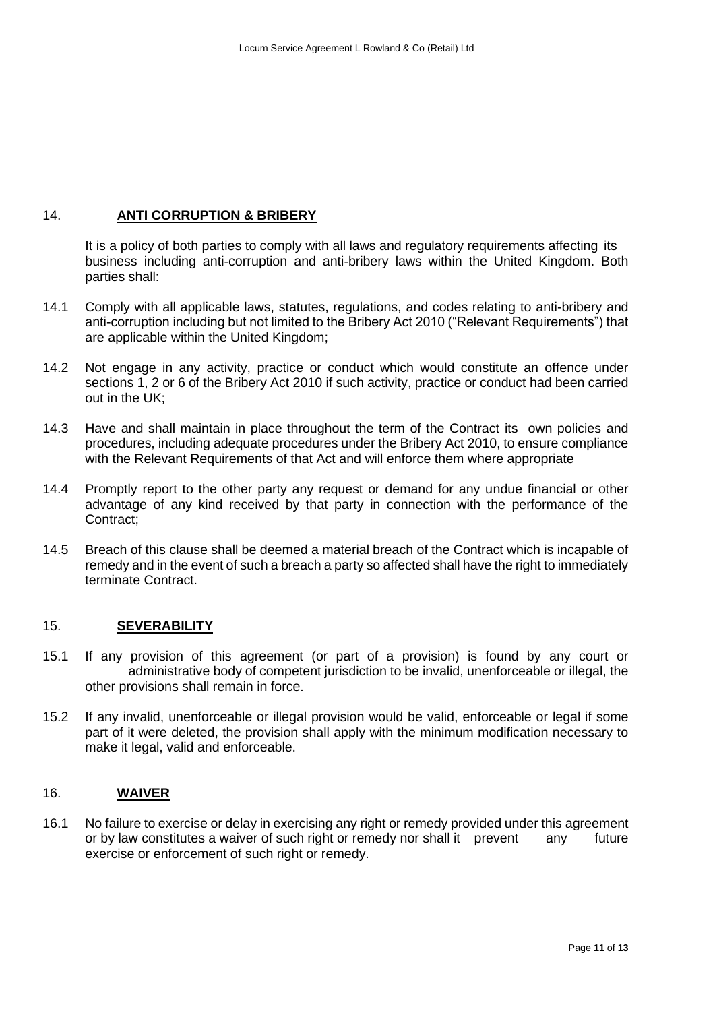## 14. **ANTI CORRUPTION & BRIBERY**

<span id="page-10-0"></span>It is a policy of both parties to comply with all laws and regulatory requirements affecting its business including anti-corruption and anti-bribery laws within the United Kingdom. Both parties shall:

- 14.1 Comply with all applicable laws, statutes, regulations, and codes relating to anti-bribery and anti-corruption including but not limited to the Bribery Act 2010 ("Relevant Requirements") that are applicable within the United Kingdom;
- 14.2 Not engage in any activity, practice or conduct which would constitute an offence under sections 1, 2 or 6 of the Bribery Act 2010 if such activity, practice or conduct had been carried out in the UK;
- 14.3 Have and shall maintain in place throughout the term of the Contract its own policies and procedures, including adequate procedures under the Bribery Act 2010, to ensure compliance with the Relevant Requirements of that Act and will enforce them where appropriate
- 14.4 Promptly report to the other party any request or demand for any undue financial or other advantage of any kind received by that party in connection with the performance of the Contract;
- 14.5 Breach of this clause shall be deemed a material breach of the Contract which is incapable of remedy and in the event of such a breach a party so affected shall have the right to immediately terminate Contract.

## <span id="page-10-1"></span>15. **SEVERABILITY**

- 15.1 If any provision of this agreement (or part of a provision) is found by any court or administrative body of competent jurisdiction to be invalid, unenforceable or illegal, the other provisions shall remain in force.
- 15.2 If any invalid, unenforceable or illegal provision would be valid, enforceable or legal if some part of it were deleted, the provision shall apply with the minimum modification necessary to make it legal, valid and enforceable.

## <span id="page-10-2"></span>16. **WAIVER**

16.1 No failure to exercise or delay in exercising any right or remedy provided under this agreement or by law constitutes a waiver of such right or remedy nor shall it prevent any future exercise or enforcement of such right or remedy.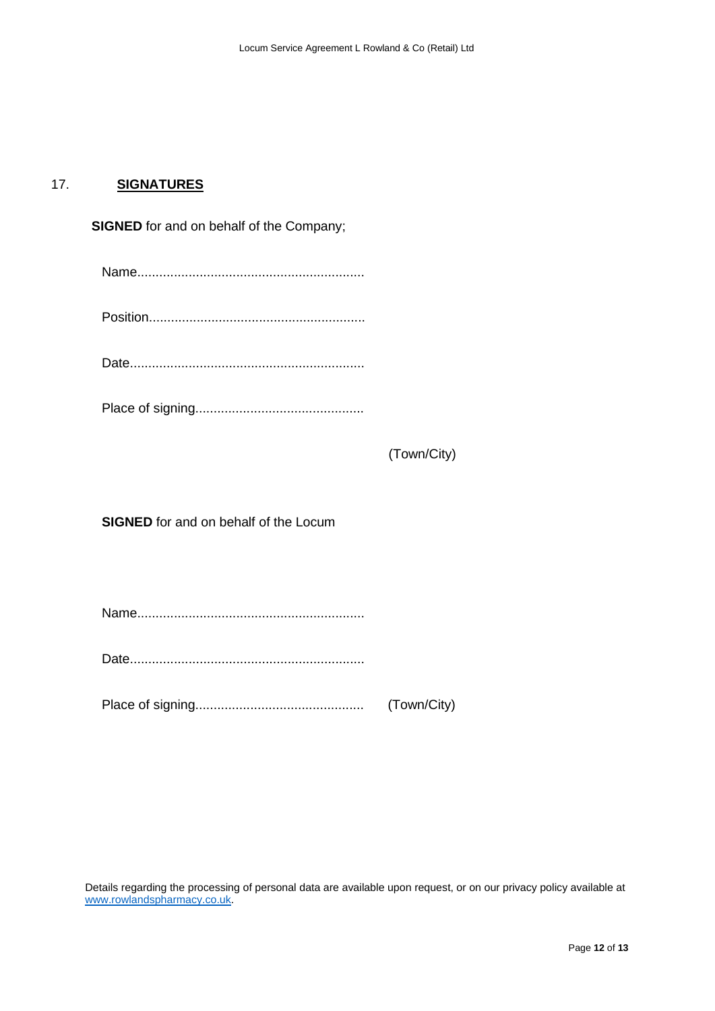## <span id="page-11-0"></span>17. **SIGNATURES**

| <b>SIGNED</b> for and on behalf of the Company; |             |  |
|-------------------------------------------------|-------------|--|
|                                                 |             |  |
|                                                 |             |  |
|                                                 |             |  |
|                                                 |             |  |
|                                                 | (Town/City) |  |
| <b>SIGNED</b> for and on behalf of the Locum    |             |  |
|                                                 |             |  |
|                                                 |             |  |
|                                                 |             |  |

Details regarding the processing of personal data are available upon request, or on our privacy policy available at [www.rowlandspharmacy.co.uk.](http://www.rowlandspharmacy.co.uk/)